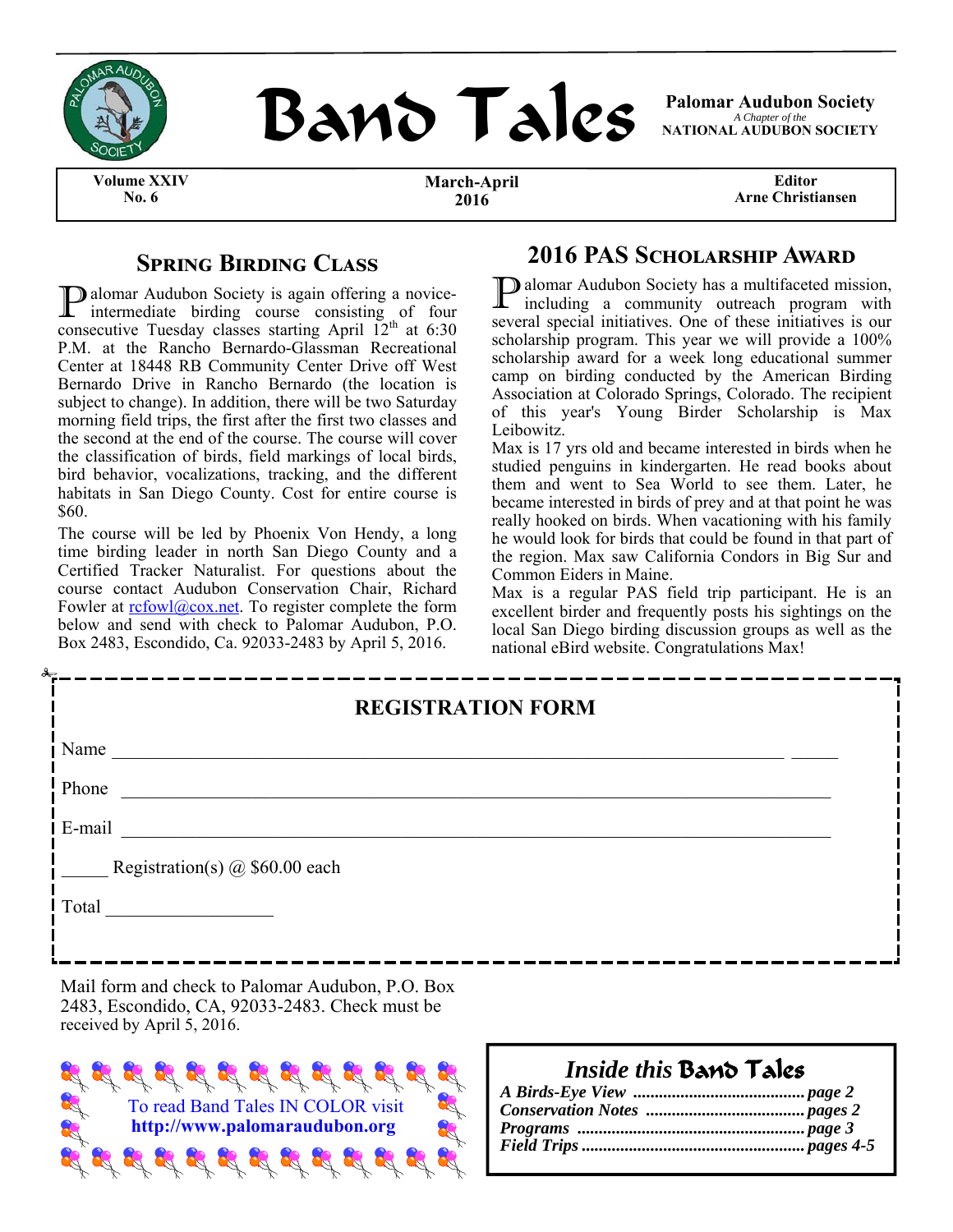



*A Chapter of the*  **NATIONAL AUDUBON SOCIETY** 

**Volume XXIV No. 6** 

**March-April 2016** 

**Editor Arne Christiansen** 

### **SPRING BIRDING CLASS**

**P** alomar Audubon Society is again offering a novice-<br>intermediate birding course consisting of four consecutive Tuesday classes starting April  $12<sup>th</sup>$  at 6:30 P.M. at the Rancho Bernardo-Glassman Recreational Center at 18448 RB Community Center Drive off West Bernardo Drive in Rancho Bernardo (the location is subject to change). In addition, there will be two Saturday morning field trips, the first after the first two classes and the second at the end of the course. The course will cover the classification of birds, field markings of local birds, bird behavior, vocalizations, tracking, and the different habitats in San Diego County. Cost for entire course is \$60.

The course will be led by Phoenix Von Hendy, a long time birding leader in north San Diego County and a Certified Tracker Naturalist. For questions about the course contact Audubon Conservation Chair, Richard Fowler at  $\frac{r f_0 w}{a}$  cox.net. To register complete the form below and send with check to Palomar Audubon, P.O. Box 2483, Escondido, Ca. 92033-2483 by April 5, 2016.

### **2016 PAS SCHOLARSHIP AWARD**

P alomar Audubon Society has a multifaceted mission, including a community outreach program with several special initiatives. One of these initiatives is our scholarship program. This year we will provide a 100% scholarship award for a week long educational summer camp on birding conducted by the American Birding Association at Colorado Springs, Colorado. The recipient of this year's Young Birder Scholarship is Max Leibowitz.

Max is 17 yrs old and became interested in birds when he studied penguins in kindergarten. He read books about them and went to Sea World to see them. Later, he became interested in birds of prey and at that point he was really hooked on birds. When vacationing with his family he would look for birds that could be found in that part of the region. Max saw California Condors in Big Sur and Common Eiders in Maine.

Max is a regular PAS field trip participant. He is an excellent birder and frequently posts his sightings on the local San Diego birding discussion groups as well as the national eBird website. Congratulations Max!

| <b>REGISTRATION FORM</b> |                                       |  |  |  |
|--------------------------|---------------------------------------|--|--|--|
| Name                     |                                       |  |  |  |
| Phone                    |                                       |  |  |  |
| E-mail                   |                                       |  |  |  |
|                          | Registration(s) $\omega$ \$60.00 each |  |  |  |
| Total                    |                                       |  |  |  |
|                          |                                       |  |  |  |

2483, Escondido, CA, 92033-2483. Check must be received by April 5, 2016.



# *Inside this* Band Tales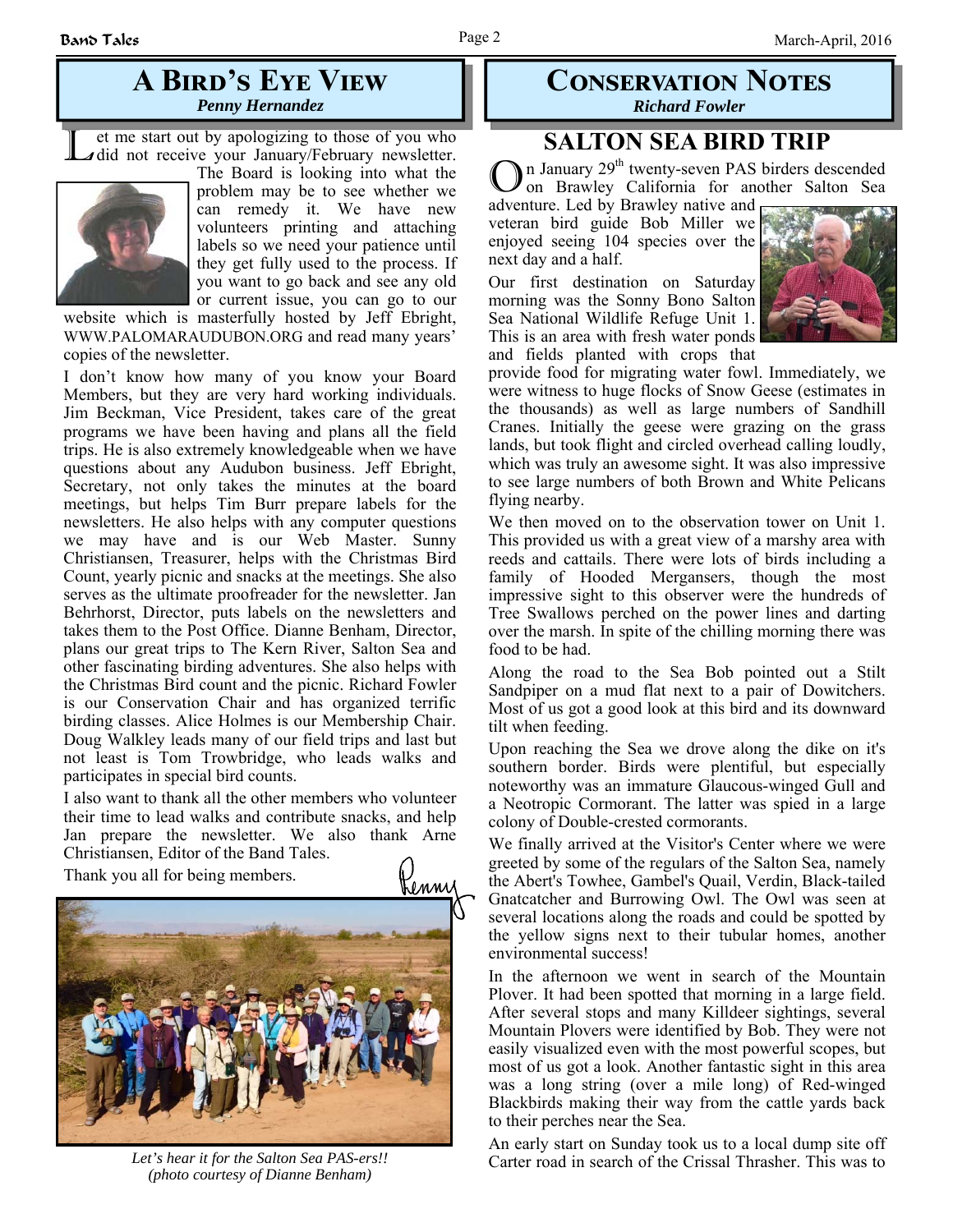## **A BIRD'S EYE VIEW** *Penny Hernandez*

L et me start out by apologizing to those of you who did not receive your January/February newsletter.



The Board is looking into what the problem may be to see whether we can remedy it. We have new volunteers printing and attaching labels so we need your patience until they get fully used to the process. If you want to go back and see any old or current issue, you can go to our

website which is masterfully hosted by Jeff Ebright, WWW.PALOMARAUDUBON.ORG and read many years' copies of the newsletter.

I don't know how many of you know your Board Members, but they are very hard working individuals. Jim Beckman, Vice President, takes care of the great programs we have been having and plans all the field trips. He is also extremely knowledgeable when we have questions about any Audubon business. Jeff Ebright, Secretary, not only takes the minutes at the board meetings, but helps Tim Burr prepare labels for the newsletters. He also helps with any computer questions we may have and is our Web Master. Sunny Christiansen, Treasurer, helps with the Christmas Bird Count, yearly picnic and snacks at the meetings. She also serves as the ultimate proofreader for the newsletter. Jan Behrhorst, Director, puts labels on the newsletters and takes them to the Post Office. Dianne Benham, Director, plans our great trips to The Kern River, Salton Sea and other fascinating birding adventures. She also helps with the Christmas Bird count and the picnic. Richard Fowler is our Conservation Chair and has organized terrific birding classes. Alice Holmes is our Membership Chair. Doug Walkley leads many of our field trips and last but not least is Tom Trowbridge, who leads walks and participates in special bird counts.

I also want to thank all the other members who volunteer their time to lead walks and contribute snacks, and help Jan prepare the newsletter. We also thank Arne Christiansen, Editor of the Band Tales.

Thank you all for being members.



*Let's hear it for the Salton Sea PAS-ers!! (photo courtesy of Dianne Benham)* 

### **CONSERVATION NOTES** *Richard Fowler*

# **SALTON SEA BIRD TRIP**

In January  $29<sup>th</sup>$  twenty-seven PAS birders descended on Brawley California for another Salton Sea

adventure. Led by Brawley native and veteran bird guide Bob Miller we enjoyed seeing 104 species over the next day and a half.

Our first destination on Saturday morning was the Sonny Bono Salton Sea National Wildlife Refuge Unit 1. This is an area with fresh water ponds and fields planted with crops that



provide food for migrating water fowl. Immediately, we were witness to huge flocks of Snow Geese (estimates in the thousands) as well as large numbers of Sandhill Cranes. Initially the geese were grazing on the grass lands, but took flight and circled overhead calling loudly, which was truly an awesome sight. It was also impressive to see large numbers of both Brown and White Pelicans flying nearby.

We then moved on to the observation tower on Unit 1. This provided us with a great view of a marshy area with reeds and cattails. There were lots of birds including a family of Hooded Mergansers, though the most impressive sight to this observer were the hundreds of Tree Swallows perched on the power lines and darting over the marsh. In spite of the chilling morning there was food to be had.

Along the road to the Sea Bob pointed out a Stilt Sandpiper on a mud flat next to a pair of Dowitchers. Most of us got a good look at this bird and its downward tilt when feeding.

Upon reaching the Sea we drove along the dike on it's southern border. Birds were plentiful, but especially noteworthy was an immature Glaucous-winged Gull and a Neotropic Cormorant. The latter was spied in a large colony of Double-crested cormorants.

We finally arrived at the Visitor's Center where we were greeted by some of the regulars of the Salton Sea, namely the Abert's Towhee, Gambel's Quail, Verdin, Black-tailed Gnatcatcher and Burrowing Owl. The Owl was seen at several locations along the roads and could be spotted by the yellow signs next to their tubular homes, another environmental success!

In the afternoon we went in search of the Mountain Plover. It had been spotted that morning in a large field. After several stops and many Killdeer sightings, several Mountain Plovers were identified by Bob. They were not easily visualized even with the most powerful scopes, but most of us got a look. Another fantastic sight in this area was a long string (over a mile long) of Red-winged Blackbirds making their way from the cattle yards back to their perches near the Sea.

An early start on Sunday took us to a local dump site off Carter road in search of the Crissal Thrasher. This was to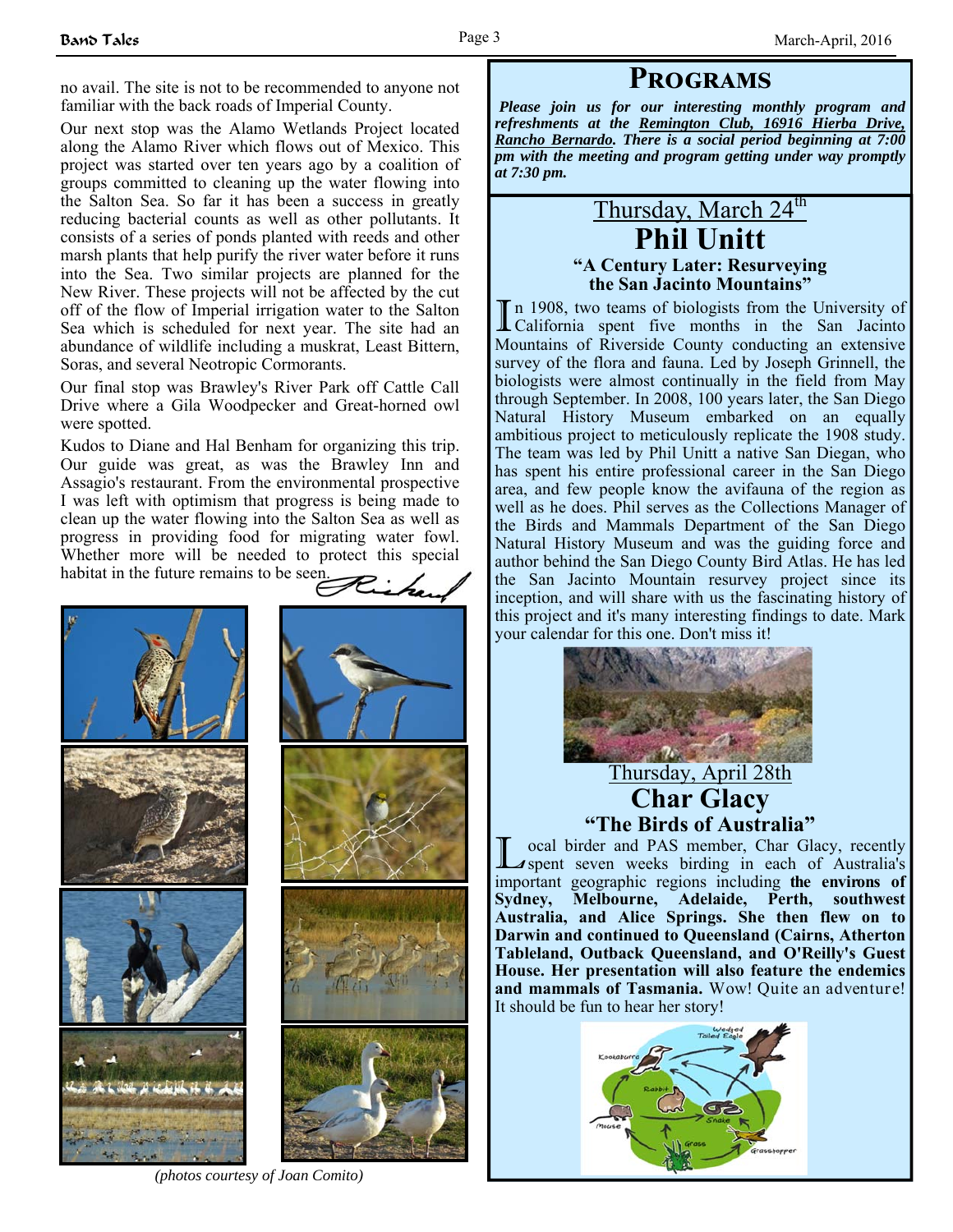no avail. The site is not to be recommended to anyone not familiar with the back roads of Imperial County.

Our next stop was the Alamo Wetlands Project located along the Alamo River which flows out of Mexico. This project was started over ten years ago by a coalition of groups committed to cleaning up the water flowing into the Salton Sea. So far it has been a success in greatly reducing bacterial counts as well as other pollutants. It consists of a series of ponds planted with reeds and other marsh plants that help purify the river water before it runs into the Sea. Two similar projects are planned for the New River. These projects will not be affected by the cut off of the flow of Imperial irrigation water to the Salton Sea which is scheduled for next year. The site had an abundance of wildlife including a muskrat, Least Bittern, Soras, and several Neotropic Cormorants.

Our final stop was Brawley's River Park off Cattle Call Drive where a Gila Woodpecker and Great-horned owl were spotted.

Kudos to Diane and Hal Benham for organizing this trip. Our guide was great, as was the Brawley Inn and Assagio's restaurant. From the environmental prospective I was left with optimism that progress is being made to clean up the water flowing into the Salton Sea as well as progress in providing food for migrating water fowl. Whether more will be needed to protect this special habitat in the future remains to be seen

*Please join us for our interesting monthly program and refreshments at the Remington Club, 16916 Hierba Drive, Rancho Bernardo. There is a social period beginning at 7:00 pm with the meeting and program getting under way promptly at 7:30 pm.*

**PROGRAMS** 

### Thursday, March 24<sup>th</sup> **Phil Unitt "A Century Later: Resurveying the San Jacinto Mountains"**

In 1908, two teams of biologists from the University of California spent five months in the San Jacinto Mountains of Riverside County conducting an extensive survey of the flora and fauna. Led by Joseph Grinnell, the biologists were almost continually in the field from May through September. In 2008, 100 years later, the San Diego Natural History Museum embarked on an equally ambitious project to meticulously replicate the 1908 study. The team was led by Phil Unitt a native San Diegan, who has spent his entire professional career in the San Diego area, and few people know the avifauna of the region as well as he does. Phil serves as the Collections Manager of the Birds and Mammals Department of the San Diego Natural History Museum and was the guiding force and author behind the San Diego County Bird Atlas. He has led the San Jacinto Mountain resurvey project since its inception, and will share with us the fascinating history of this project and it's many interesting findings to date. Mark your calendar for this one. Don't miss it!



Thursday, April 28th **Char Glacy "The Birds of Australia"** 

L ocal birder and PAS member, Char Glacy, recently spent seven weeks birding in each of Australia's important geographic regions including **the environs of Sydney, Melbourne, Adelaide, Perth, southwest Australia, and Alice Springs. She then flew on to Darwin and continued to Queensland (Cairns, Atherton Tableland, Outback Queensland, and O'Reilly's Guest House. Her presentation will also feature the endemics and mammals of Tasmania.** Wow! Quite an adventure! It should be fun to hear her story!



*(photos courtesy of Joan Comito)*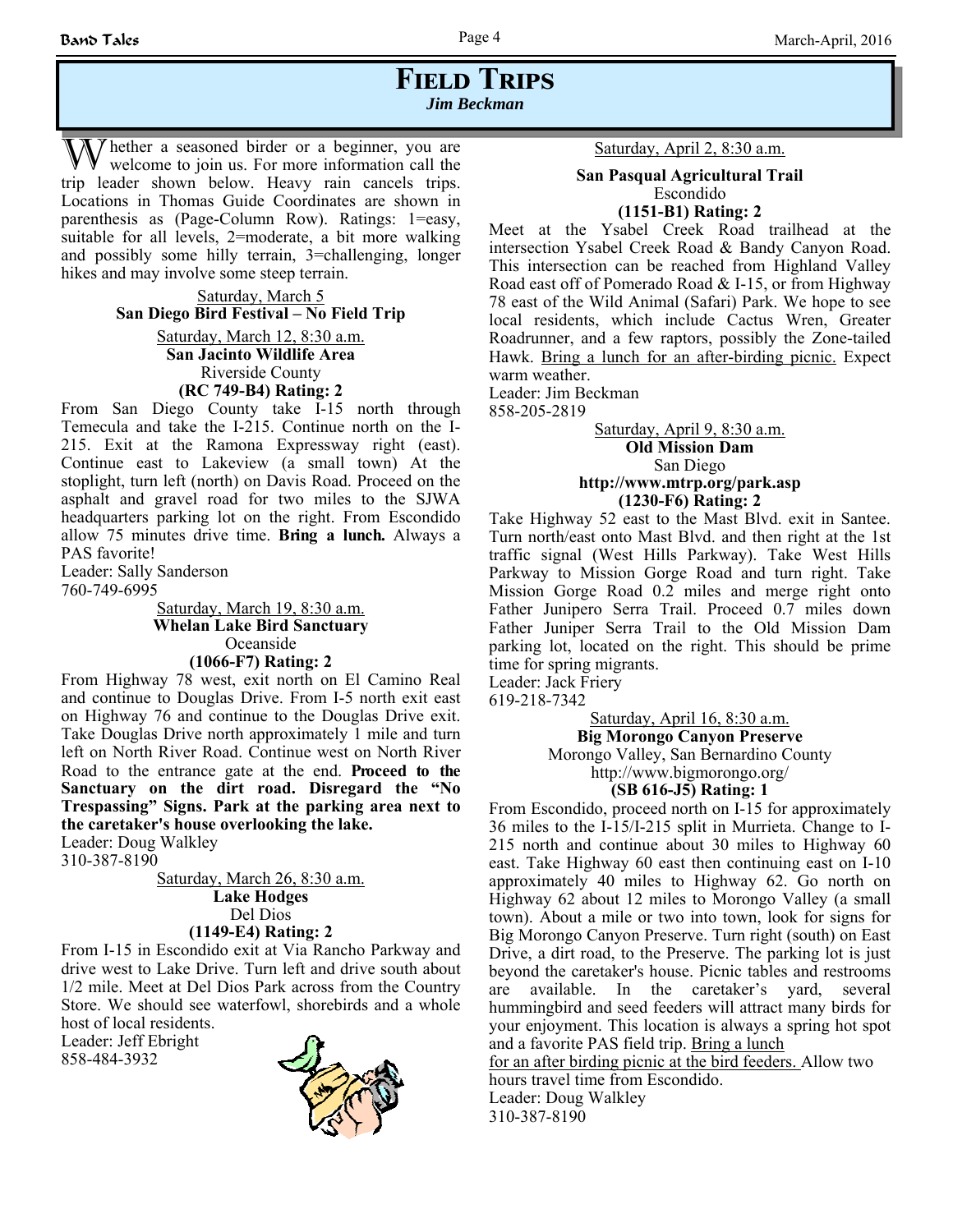## **FIELD TRIPS** *Jim Beckman*

 $\bar{y}$  hether a seasoned birder or a beginner, you are welcome to join us. For more information call the trip leader shown below. Heavy rain cancels trips. Locations in Thomas Guide Coordinates are shown in parenthesis as (Page-Column Row). Ratings: 1=easy, suitable for all levels, 2=moderate, a bit more walking and possibly some hilly terrain, 3=challenging, longer hikes and may involve some steep terrain.

> Saturday, March 5 **San Diego Bird Festival – No Field Trip** Saturday, March 12, 8:30 a.m. **San Jacinto Wildlife Area** Riverside County

> > **(RC 749-B4) Rating: 2**

From San Diego County take I-15 north through Temecula and take the I-215. Continue north on the I-215. Exit at the Ramona Expressway right (east). Continue east to Lakeview (a small town) At the stoplight, turn left (north) on Davis Road. Proceed on the asphalt and gravel road for two miles to the SJWA headquarters parking lot on the right. From Escondido allow 75 minutes drive time. **Bring a lunch.** Always a PAS favorite!

Leader: Sally Sanderson

760-749-6995

Saturday, March 19, 8:30 a.m. **Whelan Lake Bird Sanctuary** Oceanside **(1066-F7) Rating: 2**

From Highway 78 west, exit north on El Camino Real and continue to Douglas Drive. From I-5 north exit east on Highway 76 and continue to the Douglas Drive exit. Take Douglas Drive north approximately 1 mile and turn left on North River Road. Continue west on North River Road to the entrance gate at the end. **Proceed to the Sanctuary on the dirt road. Disregard the "No Trespassing" Signs. Park at the parking area next to the caretaker's house overlooking the lake.**

Leader: Doug Walkley 310-387-8190

> Saturday, March 26, 8:30 a.m. **Lake Hodges** Del Dios **(1149-E4) Rating: 2**

From I-15 in Escondido exit at Via Rancho Parkway and drive west to Lake Drive. Turn left and drive south about 1/2 mile. Meet at Del Dios Park across from the Country Store. We should see waterfowl, shorebirds and a whole host of local residents.

Leader: Jeff Ebright 858-484-3932



#### Saturday, April 2, 8:30 a.m.

#### **San Pasqual Agricultural Trail**  Escondido **(1151-B1) Rating: 2**

Meet at the Ysabel Creek Road trailhead at the intersection Ysabel Creek Road & Bandy Canyon Road. This intersection can be reached from Highland Valley Road east off of Pomerado Road & I-15, or from Highway 78 east of the Wild Animal (Safari) Park. We hope to see local residents, which include Cactus Wren, Greater Roadrunner, and a few raptors, possibly the Zone-tailed Hawk. Bring a lunch for an after-birding picnic. Expect warm weather.

Leader: Jim Beckman 858-205-2819

#### Saturday, April 9, 8:30 a.m. **Old Mission Dam** San Diego **http://www.mtrp.org/park.asp (1230-F6) Rating: 2**

Take Highway 52 east to the Mast Blvd. exit in Santee. Turn north/east onto Mast Blvd. and then right at the 1st traffic signal (West Hills Parkway). Take West Hills Parkway to Mission Gorge Road and turn right. Take Mission Gorge Road 0.2 miles and merge right onto Father Junipero Serra Trail. Proceed 0.7 miles down Father Juniper Serra Trail to the Old Mission Dam parking lot, located on the right. This should be prime time for spring migrants.

Leader: Jack Friery

619-218-7342

### Saturday, April 16, 8:30 a.m.

**Big Morongo Canyon Preserve**

Morongo Valley, San Bernardino County

http://www.bigmorongo.org/

#### **(SB 616-J5) Rating: 1**

From Escondido, proceed north on I-15 for approximately 36 miles to the I-15/I-215 split in Murrieta. Change to I-215 north and continue about 30 miles to Highway 60 east. Take Highway 60 east then continuing east on I-10 approximately 40 miles to Highway 62. Go north on Highway 62 about 12 miles to Morongo Valley (a small town). About a mile or two into town, look for signs for Big Morongo Canyon Preserve. Turn right (south) on East Drive, a dirt road, to the Preserve. The parking lot is just beyond the caretaker's house. Picnic tables and restrooms are available. In the caretaker's yard, several hummingbird and seed feeders will attract many birds for your enjoyment. This location is always a spring hot spot and a favorite PAS field trip. Bring a lunch

for an after birding picnic at the bird feeders. Allow two hours travel time from Escondido. Leader: Doug Walkley 310-387-8190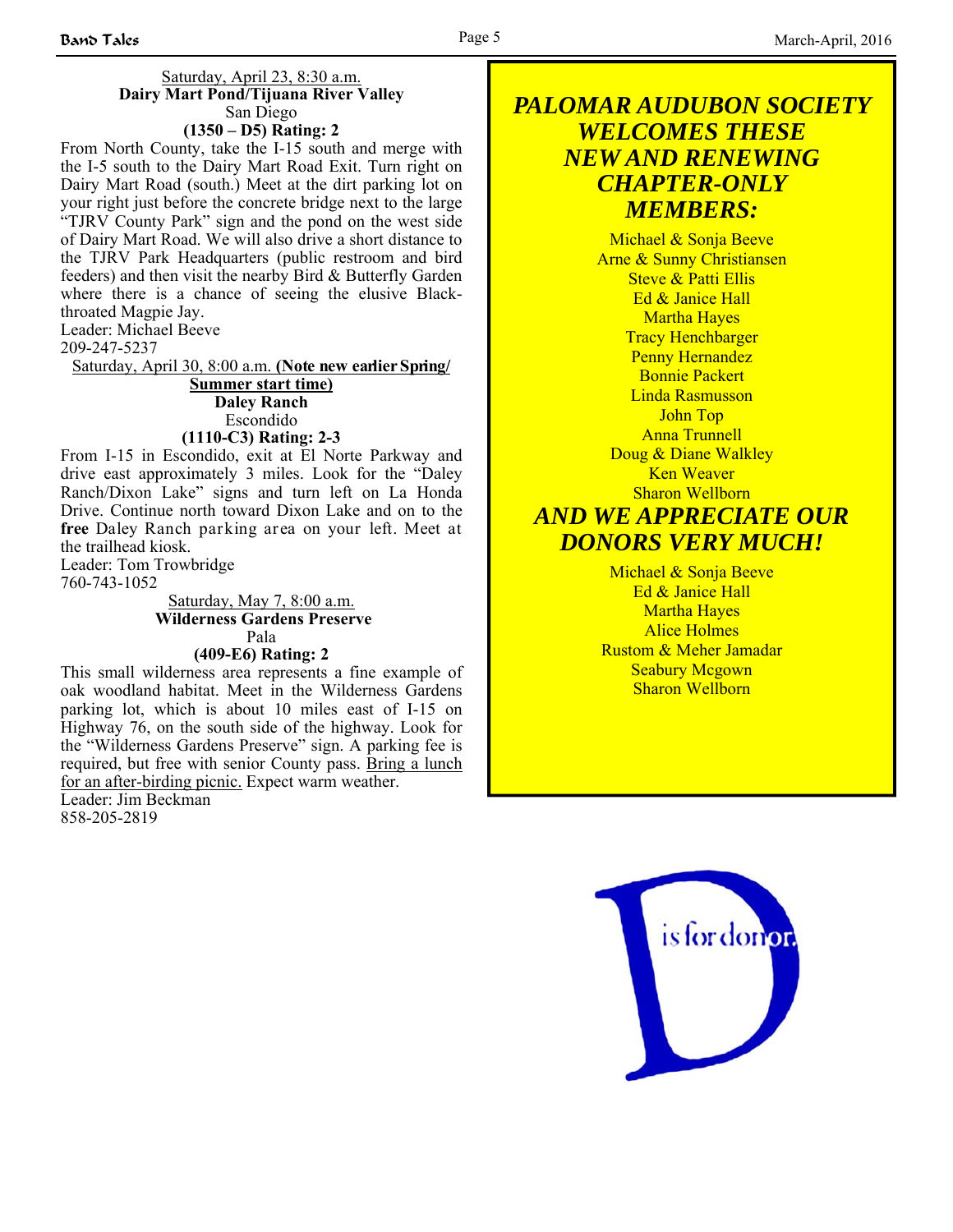#### Saturday, April 23, 8:30 a.m. **Dairy Mart Pond/Tijuana River Valley** San Diego **(1350 – D5) Rating: 2**

From North County, take the I-15 south and merge with the I-5 south to the Dairy Mart Road Exit. Turn right on Dairy Mart Road (south.) Meet at the dirt parking lot on your right just before the concrete bridge next to the large "TJRV County Park" sign and the pond on the west side of Dairy Mart Road. We will also drive a short distance to the TJRV Park Headquarters (public restroom and bird feeders) and then visit the nearby Bird & Butterfly Garden where there is a chance of seeing the elusive Blackthroated Magpie Jay.

Leader: Michael Beeve 209-247-5237

Saturday, April 30, 8:00 a.m. **(Note new earlier Spring/**

**Summer start time) Daley Ranch** Escondido

### **(1110-C3) Rating: 2-3**

From I-15 in Escondido, exit at El Norte Parkway and drive east approximately 3 miles. Look for the "Daley Ranch/Dixon Lake" signs and turn left on La Honda Drive. Continue north toward Dixon Lake and on to the **free** Daley Ranch parking area on your left. Meet at the trailhead kiosk.

Leader: Tom Trowbridge 760-743-1052

Saturday, May 7, 8:00 a.m.  **Wilderness Gardens Preserve** Pala **(409-E6) Rating: 2**

This small wilderness area represents a fine example of oak woodland habitat. Meet in the Wilderness Gardens parking lot, which is about 10 miles east of I-15 on Highway 76, on the south side of the highway. Look for the "Wilderness Gardens Preserve" sign. A parking fee is required, but free with senior County pass. Bring a lunch for an after-birding picnic. Expect warm weather. Leader: Jim Beckman 858-205-2819

### *PALOMAR AUDUBON SOCIETY WELCOMES THESE NEW AND RENEWING CHAPTER-ONLY MEMBERS:*

Michael & Sonja Beeve Arne & Sunny Christiansen Steve & Patti Ellis Ed & Janice Hall Martha Hayes Tracy Henchbarger Penny Hernandez Bonnie Packert Linda Rasmusson John Top Anna Trunnell Doug & Diane Walkley Ken Weaver Sharon Wellborn

# *AND WE APPRECIATE OUR DONORS VERY MUCH!*

Michael & Sonja Beeve Ed & Janice Hall Martha Hayes Alice Holmes Rustom & Meher Jamadar Seabury Mcgown Sharon Wellborn